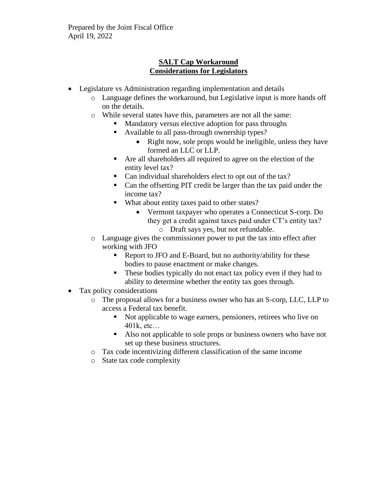# **SALT Cap Workaround Considerations for Legislators**

- Legislature vs Administration regarding implementation and details
	- o Language defines the workaround, but Legislative input is more hands off on the details.
	- o While several states have this, parameters are not all the same:
		- Mandatory versus elective adoption for pass throughs
		- Available to all pass-through ownership types?
			- Right now, sole props would be ineligible, unless they have formed an LLC or LLP.
		- Are all shareholders all required to agree on the election of the entity level tax?
		- Can individual shareholders elect to opt out of the tax?
		- Can the offsetting PIT credit be larger than the tax paid under the income tax?
		- What about entity taxes paid to other states?
			- Vermont taxpayer who operates a Connecticut S-corp. Do they get a credit against taxes paid under CT's entity tax? o Draft says yes, but not refundable.
	- o Language gives the commissioner power to put the tax into effect after working with JFO
		- Report to JFO and E-Board, but no authority/ability for these bodies to pause enactment or make changes.
		- These bodies typically do not enact tax policy even if they had to ability to determine whether the entity tax goes through.
- Tax policy considerations
	- o The proposal allows for a business owner who has an S-corp, LLC, LLP to access a Federal tax benefit.
		- Not applicable to wage earners, pensioners, retirees who live on 401k, etc…
		- Also not applicable to sole props or business owners who have not set up these business structures.
	- o Tax code incentivizing different classification of the same income
	- o State tax code complexity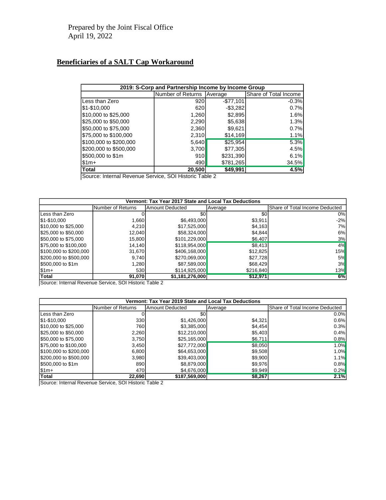## **Beneficiaries of a SALT Cap Workaround**

| 2019: S-Corp and Partnership Income by Income Group |                   |            |                       |  |  |  |
|-----------------------------------------------------|-------------------|------------|-----------------------|--|--|--|
|                                                     | Number of Returns | Average    | Share of Total Income |  |  |  |
| Less than Zero                                      | 920               | $-$77,101$ | $-0.3%$               |  |  |  |
| \$1-\$10,000                                        | 620               | $-$3,282$  | 0.7%                  |  |  |  |
| \$10,000 to \$25,000                                | 1,260             | \$2,895    | 1.6%                  |  |  |  |
| \$25,000 to \$50,000                                | 2,290             | \$5,638    | 1.3%                  |  |  |  |
| \$50,000 to \$75,000                                | 2,360             | \$9,621    | 0.7%                  |  |  |  |
| \$75,000 to \$100,000                               | 2,310             | \$14,169   | 1.1%                  |  |  |  |
| \$100,000 to \$200,000                              | 5,640             | \$25,954   | 5.3%                  |  |  |  |
| \$200,000 to \$500,000                              | 3,700             | \$77,305   | 4.5%                  |  |  |  |
| \$500,000 to \$1m                                   | 910I              | \$231,390  | 6.1%                  |  |  |  |
| \$1m+                                               | 490               | \$781,265  | 34.5%                 |  |  |  |
| <b>Total</b>                                        | 20,500            | \$49,991   | 4.5%                  |  |  |  |

Source: Internal Revenue Service, SOI Historic Table 2

| Vermont: Tax Year 2017 State and Local Tax Deductions |                   |                 |           |                                |  |  |
|-------------------------------------------------------|-------------------|-----------------|-----------|--------------------------------|--|--|
|                                                       | Number of Returns | Amount Deducted | Average   | Share of Total Income Deducted |  |  |
| Less than Zero                                        |                   | \$0l            | \$0       | 0%                             |  |  |
| 51-\$10,000                                           | 1,660             | \$6,493,000     | \$3,911   | $-2%$                          |  |  |
| \$10,000 to \$25,000                                  | 4.210             | \$17,525,000    | \$4,163   | 7%I                            |  |  |
| \$25,000 to \$50,000                                  | 12,040            | \$58,324,000    | \$4,844   | 6%                             |  |  |
| \$50,000 to \$75,000                                  | 15,800            | \$101,229,000   | \$6,407   | 3%                             |  |  |
| \$75,000 to \$100,000                                 | 14,140            | \$118,954,000   | \$8,413   | 4%                             |  |  |
| \$100,000 to \$200,000                                | 31,670            | \$406,168,000   | \$12,825  | 15%                            |  |  |
| \$200,000 to \$500,000                                | 9,740             | \$270,069,000   | \$27,728  | <b>5%</b>                      |  |  |
| \$500,000 to \$1m                                     | 1,280             | \$87,589,000    | \$68,429  | 3%                             |  |  |
| $$1m+$                                                | 530l              | \$114,925,000   | \$216,840 | 13%                            |  |  |
| <b>Total</b>                                          | 91,070            | \$1,181,276,000 | \$12,971  | 6%                             |  |  |

Source: Internal Revenue Service, SOI Historic Table 2

| Vermont: Tax Year 2019 State and Local Tax Deductions |                   |                 |         |                                |  |  |
|-------------------------------------------------------|-------------------|-----------------|---------|--------------------------------|--|--|
|                                                       | Number of Returns | Amount Deducted | Average | Share of Total Income Deducted |  |  |
| Less than Zero                                        |                   | \$0l            |         | 0.0%                           |  |  |
| \$1-\$10,000                                          | 330               | \$1,426,000     | \$4,321 | 0.6%                           |  |  |
| \$10,000 to \$25,000                                  | 760               | \$3,385,000     | \$4,454 | 0.3%                           |  |  |
| \$25,000 to \$50,000                                  | 2,260             | \$12,210,000    | \$5,403 | 0.4%                           |  |  |
| \$50,000 to \$75,000                                  | 3,750             | \$25,165,000    | \$6,711 | 0.8%                           |  |  |
| \$75,000 to \$100,000                                 | 3,450             | \$27,772,000    | \$8,050 | 1.0%                           |  |  |
| \$100,000 to \$200,000                                | 6,800             | \$64,653,000    | \$9,508 | 1.0%                           |  |  |
| \$200,000 to \$500,000                                | 3,980             | \$39,403,000    | \$9,900 | 1.1%                           |  |  |
| \$500,000 to \$1m                                     | 890               | \$8,879,000     | \$9,976 | 0.8%                           |  |  |
| $ \$1m+$                                              | 470               | \$4,676,000     | \$9,949 | 0.2%                           |  |  |
| <b>Total</b>                                          | 22,690            | \$187,569,000   | \$8,267 | 2.1%                           |  |  |

Source: Internal Revenue Service, SOI Historic Table 2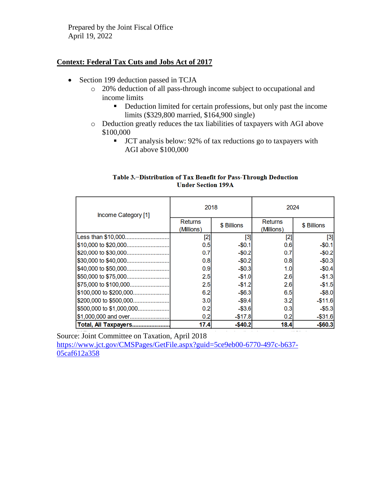Prepared by the Joint Fiscal Office April 19, 2022

### **Context: Federal Tax Cuts and Jobs Act of 2017**

- Section 199 deduction passed in TCJA
	- o 20% deduction of all pass-through income subject to occupational and income limits
		- Deduction limited for certain professions, but only past the income limits (\$329,800 married, \$164,900 single)
	- o Deduction greatly reduces the tax liabilities of taxpayers with AGI above \$100,000
		- JCT analysis below: 92% of tax reductions go to taxpayers with AGI above \$100,000

#### Table 3.-Distribution of Tax Benefit for Pass-Through Deduction **Under Section 199A**

| Income Category [1]      | 2018                         |             | 2024                         |             |
|--------------------------|------------------------------|-------------|------------------------------|-------------|
|                          | <b>Returns</b><br>(Millions) | \$ Billions | <b>Returns</b><br>(Millions) | \$ Billions |
| Less than \$10,000       | $[2]$                        | [3]         | [2]                          | $^{[3]}$    |
| \$10,000 to \$20,000     | 0.5                          | $-$0.1$     | 0.6                          | $-$0.1$     |
|                          | 0.7                          | $-$0.2$     | 0.7                          | $-$0.2$     |
| \$30,000 to \$40,000     | 0.8                          | $-$0.2$     | 0.8                          | $-$0.3$     |
| \$40,000 to \$50,000     | 0.9                          | $-$0.3$     | 1.0                          | $-$0.4$     |
|                          | 2.5                          | $-$1.0$     | 2.6                          | $-$1.3$     |
|                          | 2.5                          | $-$1.2$     | 2.6                          | $-$1.5$     |
| \$100,000 to \$200,000   | 6.2                          | $-$ \$6.3   | 6.5                          | $-$ \$8.0   |
| \$200,000 to \$500,000   | 3.0                          | $-$9.4$     | 3.2                          | $-$11.6$    |
| \$500,000 to \$1,000,000 | 0.2                          | $-$3.6$     | 0.3                          | $-$5.3$     |
| \$1,000,000 and over     | 0.2                          | $-$17.8$    | 0.2                          | $-$31.6$    |
| Total, All Taxpayers     | 17.4                         | $-$40.2$    | 18.4                         | $-$60.3$    |

Source: Joint Committee on Taxation, April 2018 [https://www.jct.gov/CMSPages/GetFile.aspx?guid=5ce9eb00-6770-497c-b637-](https://www.jct.gov/CMSPages/GetFile.aspx?guid=5ce9eb00-6770-497c-b637-05caf612a358) [05caf612a358](https://www.jct.gov/CMSPages/GetFile.aspx?guid=5ce9eb00-6770-497c-b637-05caf612a358)